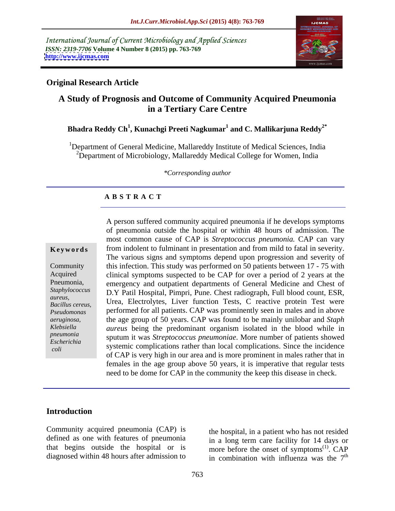International Journal of Current Microbiology and Applied Sciences *ISSN: 2319-7706* **Volume 4 Number 8 (2015) pp. 763-769 <http://www.ijcmas.com>**



## **Original Research Article**

# **A Study of Prognosis and Outcome of Community Acquired Pneumonia in a Tertiary Care Centre**

# **Bhadra Reddy Ch<sup>1</sup> , Kunachgi Preeti Nagkumar<sup>1</sup> and C. Mallikarjuna Reddy2\***

<sup>1</sup>Department of General Medicine, Mallareddy Institute of Medical Sciences, India  $2$ Department of Microbiology, Mallareddy Medical College for Women, India

*\*Corresponding author*

# **A B S T R A C T**

 *coli*

A person suffered community acquired pneumonia if he develops symptoms of pneumonia outside the hospital or within 48 hours of admission. The most common cause of CAP is *Streptococcus pneumonia.* CAP can vary from indolent to fulminant in presentation and from mild to fatal in severity.<br>The various signs and symptoms depend upon progression and severity of Community this infection. This study was performed on 50 patients between 17 - 75 with Acquired clinical symptoms suspected to be CAP for over a period of 2 years at the emergency and outpatient departments of General Medicine and Chest of Pneumonia, D.Y Patil Hospital, Pimpri, Pune. Chest radiograph, Full blood count, ESR, *Staphylococcus*  Urea, Electrolytes, Liver function Tests, C reactive protein Test were *aureus,*  performed for all patients. CAP was prominently seen in males and in above *Pseudomonas*  the age group of 50 years. CAP was found to be mainly unilobar and *Staph aeruginosa, aureus* being the predominant organism isolated in the blood while in *Klebsiella*  sputum it was *Streptococcus pneumoniae*. More number of patients showed *pneumonia* systemic complications rather than local complications. Since the incidence *Escherichia* of CAP is very high in our area and is more prominent in males rather that in females in the age group above 50 years, it is imperative that regular tests need to be dome for CAP in the community the keep this disease in check. **Keywords** from indolent to fulminant in presentation and from mild to fatal in severity.<br>The various signs and symptoms depend upon progression and severity of *Bacillus cereus,* UIEa, Lietuvijus, Liver function rests, C reactive protein rest were

### **Introduction**

Community acquired pneumonia (CAP) is defined as one with features of pneumonia that begins outside the hospital or is

diagnosed within 48 hours after admission to  $\frac{1}{2}$  in combination with influenza was the  $7^{\text{th}}$ the hospital, in a patient who has not resided in a long term care facility for 14 days or more before the onset of symptoms<sup> $(1)$ </sup>. CAP  $(1)$   $CAD$ . CAP th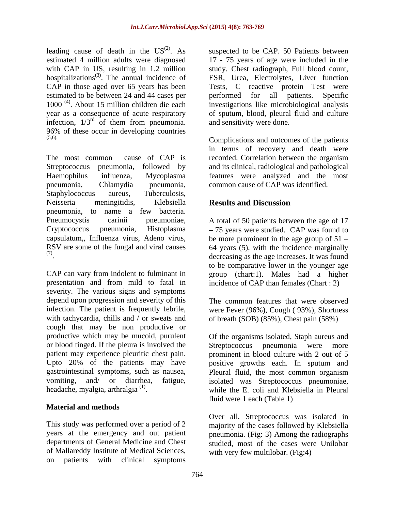leading cause of death in the  $US^{(2)}$ . As suspected to be CAP. 50 Patients between estimated 4 million adults were diagnosed 17 - 75 years of age were included in the with CAP in US, resulting in 1.2 million study. Chest radiograph, Full blood count, hospitalizations<sup>(3)</sup>. The annual incidence of ESR, Urea, Electrolytes, Liver function CAP in those aged over 65 years has been Tests, C reactive protein Test were estimated to be between 24 and 44 cases per performed for all patients. Specific 1000<sup>(4)</sup>. About 15 million children die each year as a consequence of acute respiratory of sputum, blood, pleural fluid and culture infection,  $1/3^{rd}$  of them from pneumonia. and sensitivity were done.  $96\%$  of these occur in developing countries  $(5,6)$ .

The most common cause of CAP is recorded. Correlation between the organism Streptococcus pneumonia, followed by and its clinical, radiological and pathological Haemophilus influenza, Mycoplasma features were analyzed and the most pneumonia, Chlamydia pneumonia, common cause of CAP was identified. Staphylococcus aureus, Tuberculosis, Neisseria meningitidis, Klebsiella **Results and Discussion** pneumonia, to name a few bacteria. Pneumocystis carinii pneumoniae, A total of 50 patients between the age of 17 Cryptococcus pneumonia, Histoplasma 75 years were studied. CAP was found to capsulatum,, Influenza virus, Adeno virus, be more prominent in the age group of 51 RSV are some of the fungal and viral causes 64 years (5), with the incidence marginally

presentation and from mild to fatal in incidence of CAP than females (Chart : 2) severity. The various signs and symptoms depend upon progression and severity of this infection. The patient is frequently febrile, were Fever (96%), Cough ( 93%), Shortness with tachycardia, chills and / or sweats and of breath (SOB) (85%), Chest pain (58%) cough that may be non productive or productive which may be mucoid, purulent or blood tinged. If the pleura is involved the Streptococcus pneumonia were more headache, myalgia, arthralgia<sup>(1)</sup>.

# **Material and methods**

of Mallareddy Institute of Medical Sciences, on patients with clinical symptoms

. About 15 million children die each investigations like microbiological analysis of them from pneumonia. and sensitivity were done. performed for all patients. Specific and sensitivity were done.

(5,6). Complications and outcomes of the patients in terms of recovery and death were recorded. Correlation between the organism

# **Results and Discussion**

(7) decreasing as the age increases. It was found  $\text{CAP}$  can vary from indolent to fulminant in<br>CAP can vary from indolent to fulminant in<br>CAP can vary from indolent to fulminant in<br>group (chart:1). Males had a higher to be comparative lower in the younger age group (chart:1). Males had a higher

The common features that were observed

patient may experience pleuritic chest pain. prominent in blood culture with 2 out of 5 Upto 20% of the patients may have positive growths each. In sputum and gastrointestinal symptoms, such as nausea, Pleural fluid, the most common organism vomiting, and/ or diarrhea, fatigue, isolated was Streptococcus pneumoniae, headache, myalgia, arthralgia<sup>(1)</sup>. while the E. coli and Klebsiella in Pleural Of the organisms isolated, Staph aureus and Streptococcus pneumonia were fluid were 1 each (Table 1)

This study was performed over a period of 2 majority of the cases followed by Klebsiella years at the emergency and out patient pneumonia. (Fig: 3) Among the radiographs departments of General Medicine and Chest studied, most of the cases were Unilobar Over all, Streptococcus was isolated in with very few multilobar. (Fig:4)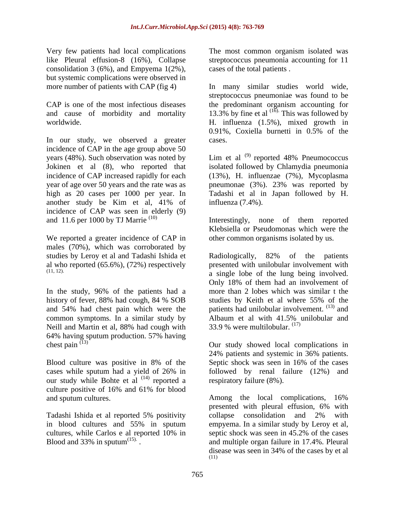Very few patients had local complications consolidation 3 (6%), and Empyema  $1(2\%)$ , but systemic complications were observed in

In our study, we observed a greater cases. incidence of CAP in the age group above 50 years (48%). Such observation was noted by  $\quad$  Lim et al  $^{(9)}$  reported 48% Pneumococcus Jokinen et al (8), who reported that incidence of CAP increased rapidly for each (13%), H. influenzae (7%), Mycoplasma year of age over 50 years and the rate was as pneumonae (3%). 23% was reported by high as 20 cases per 1000 per year. In Tadashi et al in Japan followed by H. another study be Kim et al, 41% of influenza (7.4%). incidence of CAP was seen in elderly (9)

We reported a greater incidence of CAP in males (70%), which was corroborated by studies by Leroy et al and Tadashi Ishida et Radiologically, 82% of the patients

In the study, 96% of the patients had a common symptoms. In a similar study by Albaum et al with 41.5% unilobular and Neill and Martin et al, 88% had cough with  $33.9%$  were multilobular.  $(1)$ 64% having sputum production. 57% having<br>chest pain  $(13)$  $\frac{(13)^2}{2}$  Our study showed local complications in

Blood culture was positive in 8% of the Septic shock was seen in 16% of the cases our study while Bohte et al <sup>(14)</sup> reported a culture positive of 16% and 61% for blood and sputum cultures. Among the local complications, 16%

Tadashi Ishida et al reported 5% positivity collapse consolidation and 2% with

like Pleural effusion-8 (16%), Collapse streptococcus pneumonia accounting for 11 cases of the total patients .

more number of patients with CAP (fig 4) In many similar studies world wide, CAP is one of the most infectious diseases the predominant organism accounting for and cause of morbidity and mortality  $13.3\%$  by fine et al  $^{(1\overline{6})}$ . This was followed by worldwide. H. influenza (1.5%), mixed growth in streptococcus pneumoniae was found to be 0.91%, Coxiella burnetti in 0.5% of the cases.

> isolated followed by Chlamydia pneumonia influenza (7.4%).

and 11.6 per 1000 by TJ Marrie  $(10)$  Interestingly, none of them reported Klebsiella or Pseudomonas which were the other common organisms isolated by us.

al who reported (65.6%), (72%) respectively presented with unilobular involvement with (11, 12). a single lobe of the lung being involved. history of fever, 88% had cough, 84 % SOB and  $54\%$  had chest pain which were the patients had unilobular involvement.  $^{(13)}$  and complications The most common organism isolated was energy and  $(2\%)$ , Collapse step<br>tococcus pneumonia accounting for 11 mpc systems of the total patients.<br>
CCAP (fig 4) In many similar studies would wide,<br>
tere observed Radiologically, 82% of the patients Only 18% of them had an involvement of more than 2 lobes which was similar t the studies by Keith et al where 55% of the Albaum et al with 41.5% unilobular and 33.9 % were multilobular.  $(17)$ 

cases while sputum had a yield of 26% in reported a respiratory failure (8%). 24% patients and systemic in 36% patients. Septic shock was seen in 16% of the cases followed by renal failure (12%) and respiratory failure (8%).

in blood cultures and 55% in sputum empyema. In a similar study by Leroy et al, cultures, while Carlos e al reported 10% in septic shock was seen in 45.2% of the cases Blood and 33% in sputum<sup>(15).</sup> The and multiple organ failure in 17.4%. Pleural Among the local complications, 16% presented with pleural effusion, 6% with collapse consolidation and 2% with disease was seen in 34% of the cases by et al (11)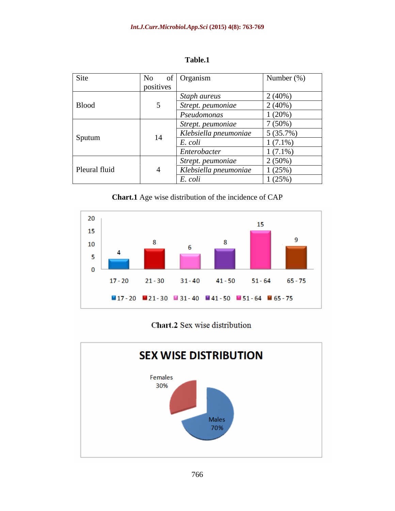| Site          | No        | of   Organism         | Number $(\%)$ |
|---------------|-----------|-----------------------|---------------|
|               | positives |                       |               |
|               |           | Staph aureus          | 2(40%)        |
| <b>Blood</b>  |           | Strept. peumoniae     | $2(40\%)$     |
|               |           | Pseudomonas           | 1(20%)        |
| Sputum        |           | Strept. peumoniae     | 7(50%)        |
|               | 14        | Klebsiella pneumoniae | $5(35.7\%)$   |
|               |           | E. coli               | $1(7.1\%)$    |
|               |           | Enterobacter          | $1(7.1\%)$    |
| Pleural fluid |           | Strept. peumoniae     | $2(50\%)$     |
|               |           | Klebsiella pneumoniae | 1(25%)        |
|               |           | E. coli               | 1(25%)        |

**Table.1**

**Chart.1** Age wise distribution of the incidence of CAP



# Chart.2 Sex wise distribution

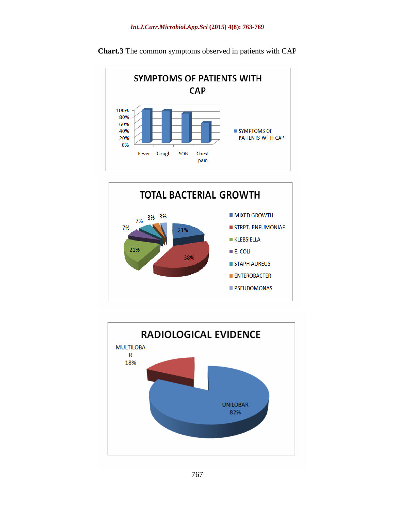

**Chart.3** The common symptoms observed in patients with CAP



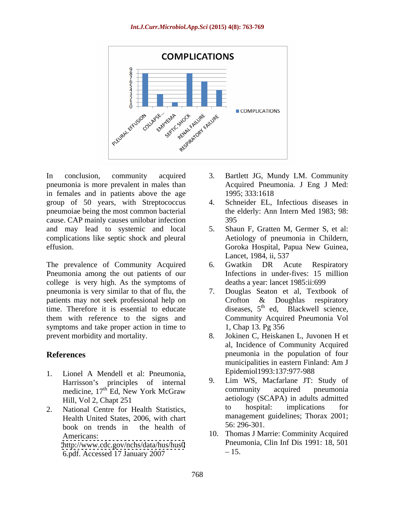

In conclusion, community acquired 3. Bartlett JG, Mundy LM. Community pneumonia is more prevalent in males than in females and in patients above the age 1995; 333:1618 group of 50 years, with Streptococcus pneumoiae being the most common bacterial cause. CAP mainly causes unilobar infection and may lead to systemic and local complications like septic shock and pleural effusion. Goroka Hospital, Papua New Guinea,

The prevalence of Community Acquired 6. Gwatkin DR Acute Respiratory Pneumonia among the out patients of our college is very high. As the symptoms of pneumonia is very similar to that of flu, the patients may not seek professional help on Crofton & Doughlas respiratory time. Therefore it is essential to educate them with reference to the signs and Community Acquir<br>symptoms and take proper action in time to 1, Chap 13. Pg 356 symptoms and take proper action in time to

- 1. Lionel A Mendell et al: Pneumonia,<br>
Harrisson's principles of internal 9. Lim WS, Macfarlane JT: Study of medicine, 17<sup>th</sup> Ed, New York McGraw
- Health United States, 2006, with chart management<br>health of 56:296-301. book on trends in the health of  $56:296-301$ . <http://www.cdc.gov/nchs/data/hus/hus0> 6.pdf. Accessed 17 January 2007
- Acquired Pneumonia. J Eng J Med: 1995; 333:1618
- Schneider EL, Infectious diseases in the elderly: Ann Intern Med 1983; 98: 395
- 5. Shaun F, Gratten M, Germer S, et al: Aetiology of pneumonia in Childern, Lancet, 1984, ii, 537
- 6. Gwatkin DR Acute Respiratory Infections in under-fives: 15 million deaths a year: lancet 1985:ii:699
- Douglas Seaton et al, Textbook of Crofton & Doughlas respiratory diseases, 5<sup>th</sup> ed, Blackwell science, Community Acquired Pneumonia Vol 1, Chap 13. Pg 356
- prevent morbidity and mortality. 8. Jokinen C, Heiskanen L, Juvonen H et **References** pneumonia in the population of four al, Incidence of Community Acquired municipalities in eastern Finland: Am J Epidemiol1993:137:977-988
- Harrisson's principles of internal  $\frac{9}{2}$ . Lim WS, Mactarlane JT: Study of medicine 17<sup>th</sup> Ed New York McGraw community acquired pneumonia <sup>th</sup> Ed, New York McGraw community acquired pneumonia Hill, Vol 2, Chapt 251 2. National Centre for Health Statistics, to hospital: implications for 9. Lim WS, Macfarlane JT: Study of community acquired pneumonia aetiology (SCAPA) in adults admitted to hospital: implications for management guidelines; Thorax 2001; 56: 296-301.
	- Americans: 10. Thomas J Marrie: Comminity Acquired Pneumonia, Clin Inf Dis 1991: 18, 501  $-15.$